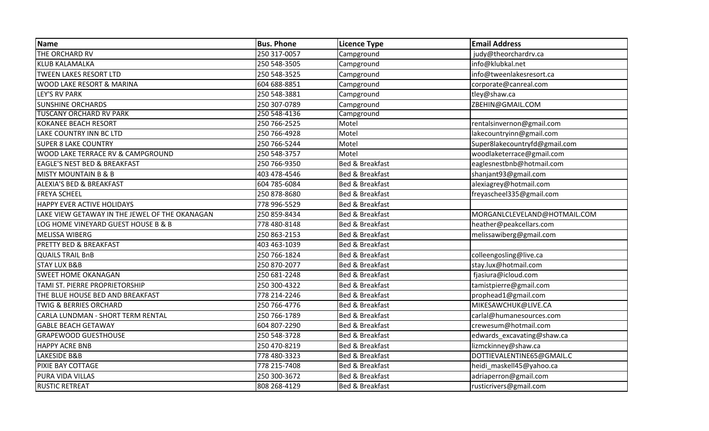| <b>Name</b>                                    | <b>Bus. Phone</b> | <b>Licence Type</b>        | <b>Email Address</b>          |
|------------------------------------------------|-------------------|----------------------------|-------------------------------|
| THE ORCHARD RV                                 | 250 317-0057      | Campground                 | judy@theorchardrv.ca          |
| <b>KLUB KALAMALKA</b>                          | 250 548-3505      | Campground                 | info@klubkal.net              |
| <b>TWEEN LAKES RESORT LTD</b>                  | 250 548-3525      | Campground                 | info@tweenlakesresort.ca      |
| WOOD LAKE RESORT & MARINA                      | 604 688-8851      | Campground                 | corporate@canreal.com         |
| <b>LEY'S RV PARK</b>                           | 250 548-3881      | Campground                 | tley@shaw.ca                  |
| <b>SUNSHINE ORCHARDS</b>                       | 250 307-0789      | Campground                 | ZBEHIN@GMAIL.COM              |
| <b>TUSCANY ORCHARD RV PARK</b>                 | 250 548-4136      | Campground                 |                               |
| <b>KOKANEE BEACH RESORT</b>                    | 250 766-2525      | Motel                      | rentalsinvernon@gmail.com     |
| LAKE COUNTRY INN BC LTD                        | 250 766-4928      | Motel                      | lakecountryinn@gmail.com      |
| <b>SUPER 8 LAKE COUNTRY</b>                    | 250 766-5244      | Motel                      | Super8lakecountryfd@gmail.com |
| WOOD LAKE TERRACE RV & CAMPGROUND              | 250 548-3757      | Motel                      | woodlaketerrace@gmail.com     |
| <b>EAGLE'S NEST BED &amp; BREAKFAST</b>        | 250 766-9350      | Bed & Breakfast            | eaglesnestbnb@hotmail.com     |
| <b>MISTY MOUNTAIN B &amp; B</b>                | 403 478-4546      | Bed & Breakfast            | shanjant93@gmail.com          |
| <b>ALEXIA'S BED &amp; BREAKFAST</b>            | 604 785-6084      | Bed & Breakfast            | alexiagrey@hotmail.com        |
| <b>FREYA SCHEEL</b>                            | 250 878-8680      | <b>Bed &amp; Breakfast</b> | freyascheel335@gmail.com      |
| HAPPY EVER ACTIVE HOLIDAYS                     | 778 996-5529      | <b>Bed &amp; Breakfast</b> |                               |
| LAKE VIEW GETAWAY IN THE JEWEL OF THE OKANAGAN | 250 859-8434      | <b>Bed &amp; Breakfast</b> | MORGANLCLEVELAND@HOTMAIL.COM  |
| LOG HOME VINEYARD GUEST HOUSE B & B            | 778 480-8148      | Bed & Breakfast            | heather@peakcellars.com       |
| MELISSA WIBERG                                 | 250 863-2153      | Bed & Breakfast            | melissawiberg@gmail.com       |
| <b>PRETTY BED &amp; BREAKFAST</b>              | 403 463-1039      | Bed & Breakfast            |                               |
| <b>QUAILS TRAIL BnB</b>                        | 250 766-1824      | <b>Bed &amp; Breakfast</b> | colleengosling@live.ca        |
| <b>STAY LUX B&amp;B</b>                        | 250 870-2077      | <b>Bed &amp; Breakfast</b> | stay.lux@hotmail.com          |
| <b>SWEET HOME OKANAGAN</b>                     | 250 681-2248      | <b>Bed &amp; Breakfast</b> | fjasiura@icloud.com           |
| TAMI ST. PIERRE PROPRIETORSHIP                 | 250 300-4322      | <b>Bed &amp; Breakfast</b> | tamistpierre@gmail.com        |
| THE BLUE HOUSE BED AND BREAKFAST               | 778 214-2246      | Bed & Breakfast            | prophead1@gmail.com           |
| <b>TWIG &amp; BERRIES ORCHARD</b>              | 250 766-4776      | Bed & Breakfast            | MIKESAWCHUK@LIVE.CA           |
| CARLA LUNDMAN - SHORT TERM RENTAL              | 250 766-1789      | Bed & Breakfast            | carlal@humanesources.com      |
| <b>GABLE BEACH GETAWAY</b>                     | 604 807-2290      | Bed & Breakfast            | crewesum@hotmail.com          |
| <b>GRAPEWOOD GUESTHOUSE</b>                    | 250 548-3728      | <b>Bed &amp; Breakfast</b> | edwards_excavating@shaw.ca    |
| <b>HAPPY ACRE BNB</b>                          | 250 470-8219      | <b>Bed &amp; Breakfast</b> | lizmckinney@shaw.ca           |
| <b>LAKESIDE B&amp;B</b>                        | 778 480-3323      | <b>Bed &amp; Breakfast</b> | DOTTIEVALENTINE65@GMAIL.C     |
| PIXIE BAY COTTAGE                              | 778 215-7408      | Bed & Breakfast            | heidi maskell45@yahoo.ca      |
| PURA VIDA VILLAS                               | 250 300-3672      | <b>Bed &amp; Breakfast</b> | adriaperron@gmail.com         |
| <b>RUSTIC RETREAT</b>                          | 808 268-4129      | <b>Bed &amp; Breakfast</b> | rusticrivers@gmail.com        |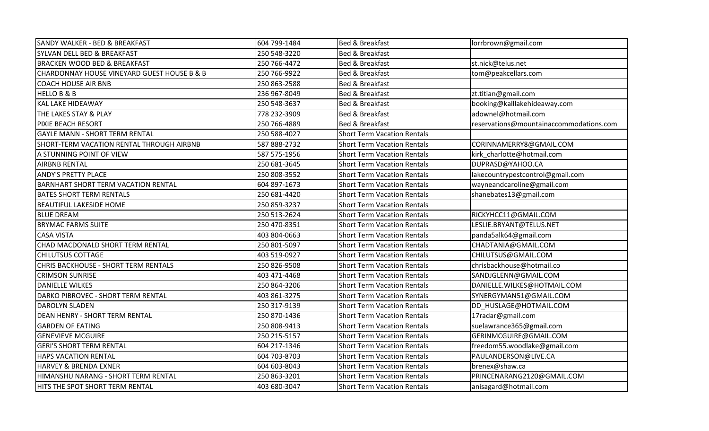| SANDY WALKER - BED & BREAKFAST              | 604 799-1484 | <b>Bed &amp; Breakfast</b>         | lorrbrown@gmail.com                     |
|---------------------------------------------|--------------|------------------------------------|-----------------------------------------|
| SYLVAN DELL BED & BREAKFAST                 | 250 548-3220 | <b>Bed &amp; Breakfast</b>         |                                         |
| <b>BRACKEN WOOD BED &amp; BREAKFAST</b>     | 250 766-4472 | <b>Bed &amp; Breakfast</b>         | st.nick@telus.net                       |
| CHARDONNAY HOUSE VINEYARD GUEST HOUSE B & B | 250 766-9922 | <b>Bed &amp; Breakfast</b>         | tom@peakcellars.com                     |
| <b>COACH HOUSE AIR BNB</b>                  | 250 863-2588 | <b>Bed &amp; Breakfast</b>         |                                         |
| <b>HELLO B &amp; B</b>                      | 236 967-8049 | <b>Bed &amp; Breakfast</b>         | zt.titian@gmail.com                     |
| <b>KAL LAKE HIDEAWAY</b>                    | 250 548-3637 | <b>Bed &amp; Breakfast</b>         | booking@kalllakehideaway.com            |
| THE LAKES STAY & PLAY                       | 778 232-3909 | <b>Bed &amp; Breakfast</b>         | adownel@hotmail.com                     |
| PIXIE BEACH RESORT                          | 250 766-4889 | <b>Bed &amp; Breakfast</b>         | reservations@mountainaccommodations.com |
| <b>GAYLE MANN - SHORT TERM RENTAL</b>       | 250 588-4027 | <b>Short Term Vacation Rentals</b> |                                         |
| SHORT-TERM VACATION RENTAL THROUGH AIRBNB   | 587 888-2732 | <b>Short Term Vacation Rentals</b> | CORINNAMERRY8@GMAIL.COM                 |
| A STUNNING POINT OF VIEW                    | 587 575-1956 | <b>Short Term Vacation Rentals</b> | kirk_charlotte@hotmail.com              |
| <b>AIRBNB RENTAL</b>                        | 250 681-3645 | <b>Short Term Vacation Rentals</b> | DUPRASD@YAHOO.CA                        |
| <b>ANDY'S PRETTY PLACE</b>                  | 250 808-3552 | <b>Short Term Vacation Rentals</b> | lakecountrypestcontrol@gmail.com        |
| <b>BARNHART SHORT TERM VACATION RENTAL</b>  | 604 897-1673 | <b>Short Term Vacation Rentals</b> | wayneandcaroline@gmail.com              |
| <b>BATES SHORT TERM RENTALS</b>             | 250 681-4420 | <b>Short Term Vacation Rentals</b> | shanebates13@gmail.com                  |
| <b>BEAUTIFUL LAKESIDE HOME</b>              | 250 859-3237 | <b>Short Term Vacation Rentals</b> |                                         |
| <b>BLUE DREAM</b>                           | 250 513-2624 | <b>Short Term Vacation Rentals</b> | RICKYHCC11@GMAIL.COM                    |
| <b>BRYMAC FARMS SUITE</b>                   | 250 470-8351 | <b>Short Term Vacation Rentals</b> | LESLIE.BRYANT@TELUS.NET                 |
| <b>CASA VISTA</b>                           | 403 804-0663 | <b>Short Term Vacation Rentals</b> | panda5alk64@gmail.com                   |
| CHAD MACDONALD SHORT TERM RENTAL            | 250 801-5097 | <b>Short Term Vacation Rentals</b> | CHADTANIA@GMAIL.COM                     |
| <b>CHILUTSUS COTTAGE</b>                    | 403 519-0927 | <b>Short Term Vacation Rentals</b> | CHILUTSUS@GMAIL.COM                     |
| CHRIS BACKHOUSE - SHORT TERM RENTALS        | 250 826-9508 | <b>Short Term Vacation Rentals</b> | chrisbackhouse@hotmail.co               |
| <b>CRIMSON SUNRISE</b>                      | 403 471-4468 | <b>Short Term Vacation Rentals</b> | SANDJGLENN@GMAIL.COM                    |
| <b>DANIELLE WILKES</b>                      | 250 864-3206 | <b>Short Term Vacation Rentals</b> | DANIELLE.WILKES@HOTMAIL.COM             |
| DARKO PIBROVEC - SHORT TERM RENTAL          | 403 861-3275 | <b>Short Term Vacation Rentals</b> | SYNERGYMAN51@GMAIL.COM                  |
| <b>DAROLYN SLADEN</b>                       | 250 317-9139 | <b>Short Term Vacation Rentals</b> | DD_HUSLAGE@HOTMAIL.COM                  |
| DEAN HENRY - SHORT TERM RENTAL              | 250 870-1436 | <b>Short Term Vacation Rentals</b> | 17radar@gmail.com                       |
| <b>GARDEN OF EATING</b>                     | 250 808-9413 | <b>Short Term Vacation Rentals</b> | suelawrance365@gmail.com                |
| <b>GENEVIEVE MCGUIRE</b>                    | 250 215-5157 | <b>Short Term Vacation Rentals</b> | GERINMCGUIRE@GMAIL.COM                  |
| <b>GERI'S SHORT TERM RENTAL</b>             | 604 217-1346 | <b>Short Term Vacation Rentals</b> | freedom55.woodlake@gmail.com            |
| HAPS VACATION RENTAL                        | 604 703-8703 | <b>Short Term Vacation Rentals</b> | PAULANDERSON@LIVE.CA                    |
| <b>HARVEY &amp; BRENDA EXNER</b>            | 604 603-8043 | <b>Short Term Vacation Rentals</b> | brenex@shaw.ca                          |
| HIMANSHU NARANG - SHORT TERM RENTAL         | 250 863-3201 | <b>Short Term Vacation Rentals</b> | PRINCENARANG2120@GMAIL.COM              |
| HITS THE SPOT SHORT TERM RENTAL             | 403 680-3047 | <b>Short Term Vacation Rentals</b> | anisagard@hotmail.com                   |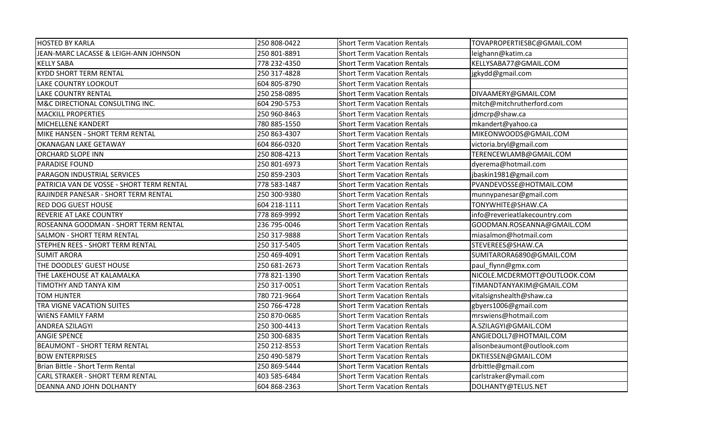| <b>HOSTED BY KARLA</b>                    | 250 808-0422 | <b>Short Term Vacation Rentals</b> | TOVAPROPERTIESBC@GMAIL.COM    |
|-------------------------------------------|--------------|------------------------------------|-------------------------------|
| JEAN-MARC LACASSE & LEIGH-ANN JOHNSON     | 250 801-8891 | Short Term Vacation Rentals        | leighann@katim.ca             |
| <b>KELLY SABA</b>                         | 778 232-4350 | <b>Short Term Vacation Rentals</b> | KELLYSABA77@GMAIL.COM         |
| <b>KYDD SHORT TERM RENTAL</b>             | 250 317-4828 | <b>Short Term Vacation Rentals</b> | jgkydd@gmail.com              |
| <b>LAKE COUNTRY LOOKOUT</b>               | 604 805-8790 | <b>Short Term Vacation Rentals</b> |                               |
| <b>LAKE COUNTRY RENTAL</b>                | 250 258-0895 | <b>Short Term Vacation Rentals</b> | DIVAAMERY@GMAIL.COM           |
| M&C DIRECTIONAL CONSULTING INC.           | 604 290-5753 | <b>Short Term Vacation Rentals</b> | mitch@mitchrutherford.com     |
| <b>MACKILL PROPERTIES</b>                 | 250 960-8463 | <b>Short Term Vacation Rentals</b> | jdmcrp@shaw.ca                |
| MICHELLENE KANDERT                        | 780 885-1550 | <b>Short Term Vacation Rentals</b> | mkandert@yahoo.ca             |
| MIKE HANSEN - SHORT TERM RENTAL           | 250 863-4307 | <b>Short Term Vacation Rentals</b> | MIKEONWOODS@GMAIL.COM         |
| OKANAGAN LAKE GETAWAY                     | 604 866-0320 | <b>Short Term Vacation Rentals</b> | victoria.bryl@gmail.com       |
| <b>ORCHARD SLOPE INN</b>                  | 250 808-4213 | <b>Short Term Vacation Rentals</b> | TERENCEWLAMB@GMAIL.COM        |
| <b>PARADISE FOUND</b>                     | 250 801-6973 | <b>Short Term Vacation Rentals</b> | dyerema@hotmail.com           |
| PARAGON INDUSTRIAL SERVICES               | 250 859-2303 | <b>Short Term Vacation Rentals</b> | jbaskin1981@gmail.com         |
| PATRICIA VAN DE VOSSE - SHORT TERM RENTAL | 778 583-1487 | <b>Short Term Vacation Rentals</b> | PVANDEVOSSE@HOTMAIL.COM       |
| RAJINDER PANESAR - SHORT TERM RENTAL      | 250 300-9380 | <b>Short Term Vacation Rentals</b> | munnypanesar@gmail.com        |
| <b>RED DOG GUEST HOUSE</b>                | 604 218-1111 | <b>Short Term Vacation Rentals</b> | TONYWHITE@SHAW.CA             |
| <b>REVERIE AT LAKE COUNTRY</b>            | 778 869-9992 | <b>Short Term Vacation Rentals</b> | info@reverieatlakecountry.com |
| ROSEANNA GOODMAN - SHORT TERM RENTAL      | 236 795-0046 | <b>Short Term Vacation Rentals</b> | GOODMAN.ROSEANNA@GMAIL.COM    |
| <b>SALMON - SHORT TERM RENTAL</b>         | 250 317-9888 | <b>Short Term Vacation Rentals</b> | miasalmon@hotmail.com         |
| STEPHEN REES - SHORT TERM RENTAL          | 250 317-5405 | <b>Short Term Vacation Rentals</b> | STEVEREES@SHAW.CA             |
| <b>SUMIT ARORA</b>                        | 250 469-4091 | <b>Short Term Vacation Rentals</b> | SUMITARORA6890@GMAIL.COM      |
| THE DOODLES' GUEST HOUSE                  | 250 681-2673 | <b>Short Term Vacation Rentals</b> | paul_flynn@gmx.com            |
| THE LAKEHOUSE AT KALAMALKA                | 778 821-1390 | <b>Short Term Vacation Rentals</b> | NICOLE.MCDERMOTT@OUTLOOK.COM  |
| <b>TIMOTHY AND TANYA KIM</b>              | 250 317-0051 | <b>Short Term Vacation Rentals</b> | TIMANDTANYAKIM@GMAIL.COM      |
| <b>TOM HUNTER</b>                         | 780 721-9664 | <b>Short Term Vacation Rentals</b> | vitalsignshealth@shaw.ca      |
| TRA VIGNE VACATION SUITES                 | 250 766-4728 | <b>Short Term Vacation Rentals</b> | gbyers1006@gmail.com          |
| <b>WIENS FAMILY FARM</b>                  | 250 870-0685 | <b>Short Term Vacation Rentals</b> | mrswiens@hotmail.com          |
| <b>ANDREA SZILAGYI</b>                    | 250 300-4413 | <b>Short Term Vacation Rentals</b> | A.SZILAGYI@GMAIL.COM          |
| <b>ANGIE SPENCE</b>                       | 250 300-6835 | <b>Short Term Vacation Rentals</b> | ANGIEDOLL7@HOTMAIL.COM        |
| <b>BEAUMONT - SHORT TERM RENTAL</b>       | 250 212-8553 | <b>Short Term Vacation Rentals</b> | alisonbeaumont@outlook.com    |
| <b>BOW ENTERPRISES</b>                    | 250 490-5879 | <b>Short Term Vacation Rentals</b> | DKTIESSEN@GMAIL.COM           |
| Brian Bittle - Short Term Rental          | 250 869-5444 | <b>Short Term Vacation Rentals</b> | drbittle@gmail.com            |
| CARL STRAKER - SHORT TERM RENTAL          | 403 585-6484 | <b>Short Term Vacation Rentals</b> | carlstraker@ymail.com         |
| DEANNA AND JOHN DOLHANTY                  | 604 868-2363 | <b>Short Term Vacation Rentals</b> | DOLHANTY@TELUS.NET            |